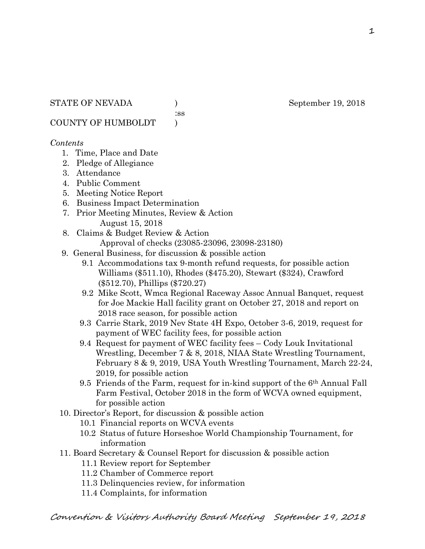:ss

COUNTY OF HUMBOLDT )

### *Contents*

- 1. Time, Place and Date
- 2. Pledge of Allegiance
- 3. Attendance
- 4. Public Comment
- 5. Meeting Notice Report
- 6. Business Impact Determination
- 7. Prior Meeting Minutes, Review & Action August 15, 2018
- 8. Claims & Budget Review & Action
	- Approval of checks (23085-23096, 23098-23180)
- 9. General Business, for discussion & possible action
	- 9.1 Accommodations tax 9-month refund requests, for possible action Williams (\$511.10), Rhodes (\$475.20), Stewart (\$324), Crawford (\$512.70), Phillips (\$720.27)
	- 9.2 Mike Scott, Wmca Regional Raceway Assoc Annual Banquet, request for Joe Mackie Hall facility grant on October 27, 2018 and report on 2018 race season, for possible action
	- 9.3 Carrie Stark, 2019 Nev State 4H Expo, October 3-6, 2019, request for payment of WEC facility fees, for possible action
	- 9.4 Request for payment of WEC facility fees Cody Louk Invitational Wrestling, December 7 & 8, 2018, NIAA State Wrestling Tournament, February 8 & 9, 2019, USA Youth Wrestling Tournament, March 22-24, 2019, for possible action
	- 9.5 Friends of the Farm, request for in-kind support of the 6th Annual Fall Farm Festival, October 2018 in the form of WCVA owned equipment, for possible action
- 10. Director's Report, for discussion & possible action
	- 10.1 Financial reports on WCVA events
	- 10.2 Status of future Horseshoe World Championship Tournament, for information
- 11. Board Secretary & Counsel Report for discussion & possible action
	- 11.1 Review report for September
	- 11.2 Chamber of Commerce report
	- 11.3 Delinquencies review, for information
	- 11.4 Complaints, for information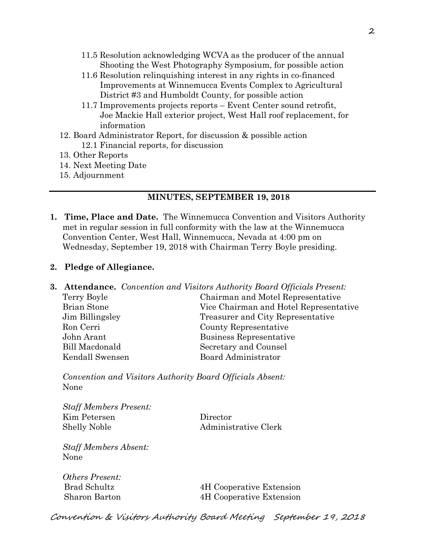- 11.5 Resolution acknowledging WCVA as the producer of the annual Shooting the West Photography Symposium, for possible action
- 11.6 Resolution relinquishing interest in any rights in co-financed Improvements at Winnemucca Events Complex to Agricultural District #3 and Humboldt County, for possible action
- 11.7 Improvements projects reports Event Center sound retrofit, Joe Mackie Hall exterior project, West Hall roof replacement, for information
- 12. Board Administrator Report, for discussion & possible action 12.1 Financial reports, for discussion
- 13. Other Reports
- 14. Next Meeting Date
- 15. Adjournment

### **MINUTES, SEPTEMBER 19, 2018**

**1. Time, Place and Date.** The Winnemucca Convention and Visitors Authority met in regular session in full conformity with the law at the Winnemucca Convention Center, West Hall, Winnemucca, Nevada at 4:00 pm on Wednesday, September 19, 2018 with Chairman Terry Boyle presiding.

#### **2. Pledge of Allegiance.**

|                    | <b>3. Attendance.</b> Convention and Visitors Authority Board Officials Present: |
|--------------------|----------------------------------------------------------------------------------|
| Terry Boyle        | Chairman and Motel Representative                                                |
| <b>Brian Stone</b> | Vice Chairman and Hotel Representative                                           |
| Jim Billingsley    | Treasurer and City Representative                                                |
| Ron Cerri          | County Representative                                                            |
| John Arant         | Business Representative                                                          |
| Bill Macdonald     | Secretary and Counsel                                                            |
| Kendall Swensen    | Board Administrator                                                              |
|                    |                                                                                  |

*Convention and Visitors Authority Board Officials Absent:*  None

*Staff Members Present:*  Kim Petersen Director Shelly Noble Administrative Clerk

*Staff Members Absent:*  None

*Others Present:* 

Brad Schultz 4H Cooperative Extension Sharon Barton 4H Cooperative Extension

Convention & Visitors Authority Board Meeting September 19, 2018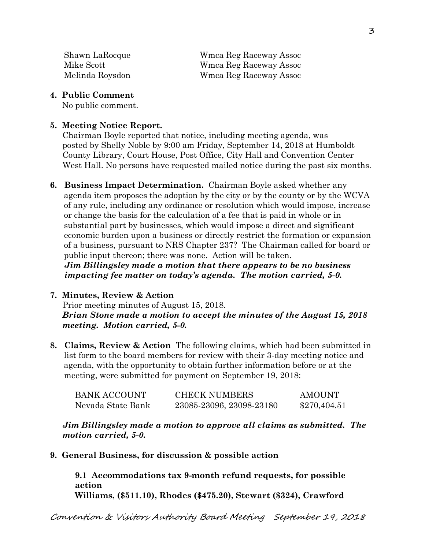Shawn LaRocque Wmca Reg Raceway Assoc Mike Scott Wmca Reg Raceway Assoc Melinda Roysdon Wmca Reg Raceway Assoc

**4. Public Comment** 

No public comment.

### **5. Meeting Notice Report.**

Chairman Boyle reported that notice, including meeting agenda, was posted by Shelly Noble by 9:00 am Friday, September 14, 2018 at Humboldt County Library, Court House, Post Office, City Hall and Convention Center West Hall. No persons have requested mailed notice during the past six months.

**6. Business Impact Determination.** Chairman Boyle asked whether any agenda item proposes the adoption by the city or by the county or by the WCVA of any rule, including any ordinance or resolution which would impose, increase or change the basis for the calculation of a fee that is paid in whole or in substantial part by businesses, which would impose a direct and significant economic burden upon a business or directly restrict the formation or expansion of a business, pursuant to NRS Chapter 237? The Chairman called for board or public input thereon; there was none. Action will be taken.

 *Jim Billingsley made a motion that there appears to be no business impacting fee matter on today's agenda. The motion carried, 5-0.* 

# **7. Minutes, Review & Action**  Prior meeting minutes of August 15, 2018. *Brian Stone made a motion to accept the minutes of the August 15, 2018 meeting. Motion carried, 5-0.*

**8. Claims, Review & Action** The following claims, which had been submitted in list form to the board members for review with their 3-day meeting notice and agenda, with the opportunity to obtain further information before or at the meeting, were submitted for payment on September 19, 2018:

| <b>BANK ACCOUNT</b> | <b>CHECK NUMBERS</b>     | <b>AMOUNT</b> |
|---------------------|--------------------------|---------------|
| Nevada State Bank   | 23085-23096, 23098-23180 | \$270,404.51  |

*Jim Billingsley made a motion to approve all claims as submitted. The motion carried, 5-0.* 

**9. General Business, for discussion & possible action** 

**9.1 Accommodations tax 9-month refund requests, for possible action Williams, (\$511.10), Rhodes (\$475.20), Stewart (\$324), Crawford**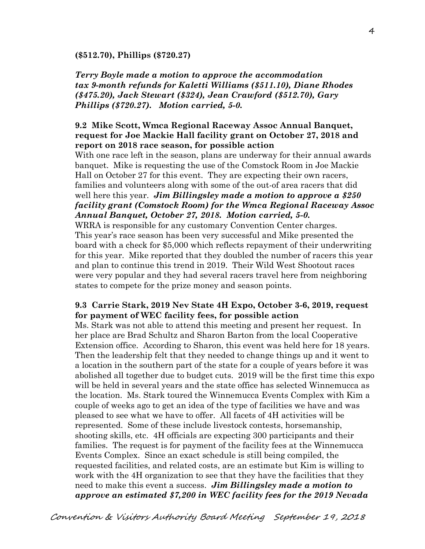#### **(\$512.70), Phillips (\$720.27)**

*Terry Boyle made a motion to approve the accommodation tax 9-month refunds for Kaletti Williams (\$511.10), Diane Rhodes (\$475.20), Jack Stewart (\$324), Jean Crawford (\$512.70), Gary Phillips (\$720.27). Motion carried, 5-0.*

### **9.2 Mike Scott, Wmca Regional Raceway Assoc Annual Banquet, request for Joe Mackie Hall facility grant on October 27, 2018 and report on 2018 race season, for possible action**

With one race left in the season, plans are underway for their annual awards banquet. Mike is requesting the use of the Comstock Room in Joe Mackie Hall on October 27 for this event. They are expecting their own racers, families and volunteers along with some of the out-of area racers that did well here this year. *Jim Billingsley made a motion to approve a \$250 facility grant (Comstock Room) for the Wmca Regional Raceway Assoc Annual Banquet, October 27, 2018. Motion carried, 5-0.* 

WRRA is responsible for any customary Convention Center charges. This year's race season has been very successful and Mike presented the board with a check for \$5,000 which reflects repayment of their underwriting for this year. Mike reported that they doubled the number of racers this year and plan to continue this trend in 2019. Their Wild West Shootout races were very popular and they had several racers travel here from neighboring states to compete for the prize money and season points.

### **9.3 Carrie Stark, 2019 Nev State 4H Expo, October 3-6, 2019, request for payment of WEC facility fees, for possible action**

Ms. Stark was not able to attend this meeting and present her request. In her place are Brad Schultz and Sharon Barton from the local Cooperative Extension office. According to Sharon, this event was held here for 18 years. Then the leadership felt that they needed to change things up and it went to a location in the southern part of the state for a couple of years before it was abolished all together due to budget cuts. 2019 will be the first time this expo will be held in several years and the state office has selected Winnemucca as the location. Ms. Stark toured the Winnemucca Events Complex with Kim a couple of weeks ago to get an idea of the type of facilities we have and was pleased to see what we have to offer. All facets of 4H activities will be represented. Some of these include livestock contests, horsemanship, shooting skills, etc. 4H officials are expecting 300 participants and their families. The request is for payment of the facility fees at the Winnemucca Events Complex. Since an exact schedule is still being compiled, the requested facilities, and related costs, are an estimate but Kim is willing to work with the 4H organization to see that they have the facilities that they need to make this event a success. *Jim Billingsley made a motion to approve an estimated \$7,200 in WEC facility fees for the 2019 Nevada*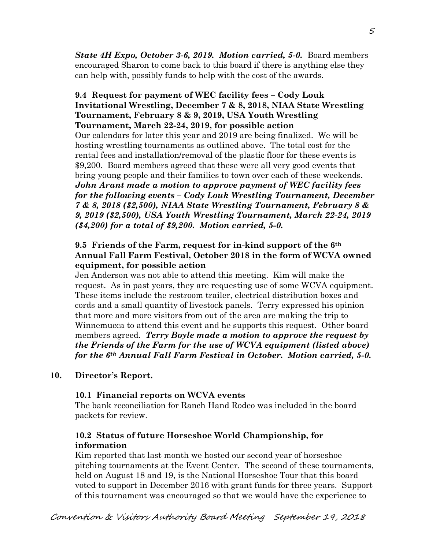*State 4H Expo, October 3-6, 2019. Motion carried, 5-0.* Board members encouraged Sharon to come back to this board if there is anything else they can help with, possibly funds to help with the cost of the awards.

### **9.4 Request for payment of WEC facility fees – Cody Louk Invitational Wrestling, December 7 & 8, 2018, NIAA State Wrestling Tournament, February 8 & 9, 2019, USA Youth Wrestling Tournament, March 22-24, 2019, for possible action**

Our calendars for later this year and 2019 are being finalized. We will be hosting wrestling tournaments as outlined above. The total cost for the rental fees and installation/removal of the plastic floor for these events is \$9,200. Board members agreed that these were all very good events that bring young people and their families to town over each of these weekends. *John Arant made a motion to approve payment of WEC facility fees for the following events – Cody Louk Wrestling Tournament, December 7 & 8, 2018 (\$2,500), NIAA State Wrestling Tournament, February 8 & 9, 2019 (\$2,500), USA Youth Wrestling Tournament, March 22-24, 2019 (\$4,200) for a total of \$9,200. Motion carried, 5-0.*

# **9.5 Friends of the Farm, request for in-kind support of the 6th Annual Fall Farm Festival, October 2018 in the form of WCVA owned equipment, for possible action**

Jen Anderson was not able to attend this meeting. Kim will make the request. As in past years, they are requesting use of some WCVA equipment. These items include the restroom trailer, electrical distribution boxes and cords and a small quantity of livestock panels. Terry expressed his opinion that more and more visitors from out of the area are making the trip to Winnemucca to attend this event and he supports this request. Other board members agreed. *Terry Boyle made a motion to approve the request by the Friends of the Farm for the use of WCVA equipment (listed above) for the 6th Annual Fall Farm Festival in October. Motion carried, 5-0.* 

# **10. Director's Report.**

# **10.1 Financial reports on WCVA events**

The bank reconciliation for Ranch Hand Rodeo was included in the board packets for review.

# **10.2 Status of future Horseshoe World Championship, for information**

Kim reported that last month we hosted our second year of horseshoe pitching tournaments at the Event Center. The second of these tournaments, held on August 18 and 19, is the National Horseshoe Tour that this board voted to support in December 2016 with grant funds for three years. Support of this tournament was encouraged so that we would have the experience to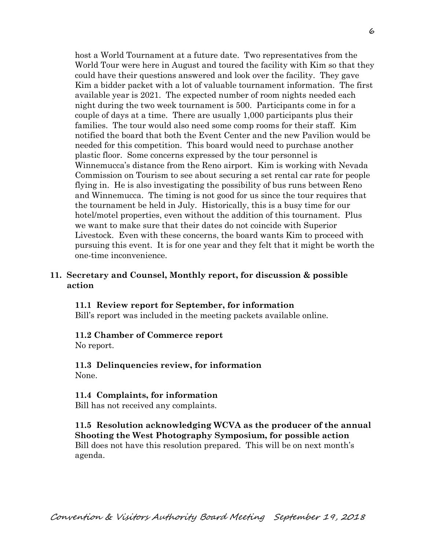host a World Tournament at a future date. Two representatives from the World Tour were here in August and toured the facility with Kim so that they could have their questions answered and look over the facility. They gave Kim a bidder packet with a lot of valuable tournament information. The first available year is 2021. The expected number of room nights needed each night during the two week tournament is 500. Participants come in for a couple of days at a time. There are usually 1,000 participants plus their families. The tour would also need some comp rooms for their staff. Kim notified the board that both the Event Center and the new Pavilion would be needed for this competition. This board would need to purchase another plastic floor. Some concerns expressed by the tour personnel is Winnemucca's distance from the Reno airport. Kim is working with Nevada Commission on Tourism to see about securing a set rental car rate for people flying in. He is also investigating the possibility of bus runs between Reno and Winnemucca. The timing is not good for us since the tour requires that the tournament be held in July. Historically, this is a busy time for our hotel/motel properties, even without the addition of this tournament. Plus we want to make sure that their dates do not coincide with Superior Livestock. Even with these concerns, the board wants Kim to proceed with pursuing this event. It is for one year and they felt that it might be worth the one-time inconvenience.

### **11. Secretary and Counsel, Monthly report, for discussion & possible action**

#### **11.1 Review report for September, for information**

Bill's report was included in the meeting packets available online.

#### **11.2 Chamber of Commerce report**

No report.

#### **11.3 Delinquencies review, for information**  None.

#### **11.4 Complaints, for information**

Bill has not received any complaints.

### **11.5 Resolution acknowledging WCVA as the producer of the annual Shooting the West Photography Symposium, for possible action**

Bill does not have this resolution prepared. This will be on next month's agenda.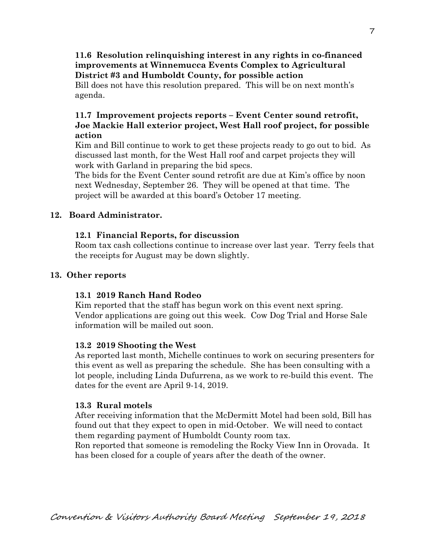## **11.6 Resolution relinquishing interest in any rights in co-financed improvements at Winnemucca Events Complex to Agricultural District #3 and Humboldt County, for possible action**

Bill does not have this resolution prepared. This will be on next month's agenda.

## **11.7 Improvement projects reports – Event Center sound retrofit, Joe Mackie Hall exterior project, West Hall roof project, for possible action**

Kim and Bill continue to work to get these projects ready to go out to bid. As discussed last month, for the West Hall roof and carpet projects they will work with Garland in preparing the bid specs.

 The bids for the Event Center sound retrofit are due at Kim's office by noon next Wednesday, September 26. They will be opened at that time. The project will be awarded at this board's October 17 meeting.

# **12. Board Administrator.**

# **12.1 Financial Reports, for discussion**

Room tax cash collections continue to increase over last year. Terry feels that the receipts for August may be down slightly.

# **13. Other reports**

# **13.1 2019 Ranch Hand Rodeo**

Kim reported that the staff has begun work on this event next spring. Vendor applications are going out this week. Cow Dog Trial and Horse Sale information will be mailed out soon.

# **13.2 2019 Shooting the West**

As reported last month, Michelle continues to work on securing presenters for this event as well as preparing the schedule. She has been consulting with a lot people, including Linda Dufurrena, as we work to re-build this event. The dates for the event are April 9-14, 2019.

# **13.3 Rural motels**

After receiving information that the McDermitt Motel had been sold, Bill has found out that they expect to open in mid-October. We will need to contact them regarding payment of Humboldt County room tax.

Ron reported that someone is remodeling the Rocky View Inn in Orovada. It has been closed for a couple of years after the death of the owner.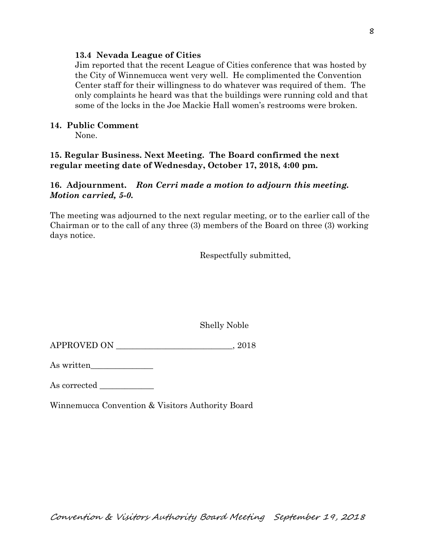### **13.4 Nevada League of Cities**

Jim reported that the recent League of Cities conference that was hosted by the City of Winnemucca went very well. He complimented the Convention Center staff for their willingness to do whatever was required of them. The only complaints he heard was that the buildings were running cold and that some of the locks in the Joe Mackie Hall women's restrooms were broken.

### **14. Public Comment**

None.

### **15. Regular Business. Next Meeting. The Board confirmed the next regular meeting date of Wednesday, October 17, 2018, 4:00 pm.**

### **16. Adjournment.** *Ron Cerri made a motion to adjourn this meeting. Motion carried, 5-0.*

The meeting was adjourned to the next regular meeting, or to the earlier call of the Chairman or to the call of any three (3) members of the Board on three (3) working days notice.

Respectfully submitted,

Shelly Noble

APPROVED ON \_\_\_\_\_\_\_\_\_\_\_\_\_\_\_\_\_\_\_\_\_\_\_\_\_\_\_\_, 2018

As written\_\_\_\_\_\_\_\_\_\_\_\_\_\_\_

As corrected \_\_\_\_\_\_\_\_\_\_\_\_\_

Winnemucca Convention & Visitors Authority Board